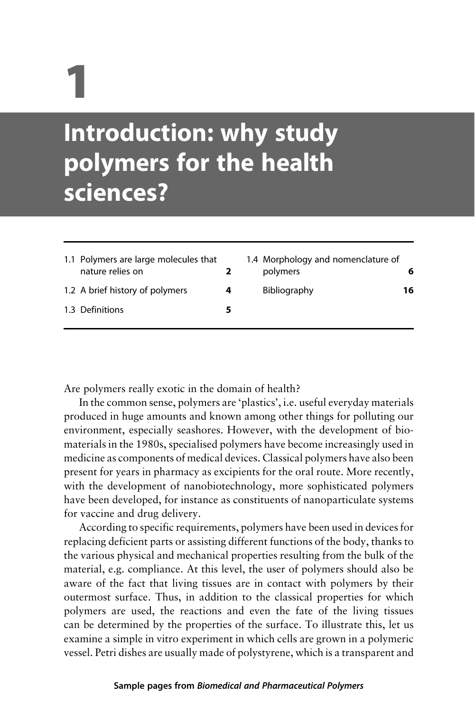# 1

# Introduction: why study polymers for the health sciences?

| 1.1 Polymers are large molecules that<br>nature relies on |   | 1.4 Morphology and nomenclature of<br>polymers |    |
|-----------------------------------------------------------|---|------------------------------------------------|----|
| 1.2 A brief history of polymers                           | 4 | Bibliography                                   | 16 |
| 1.3 Definitions                                           |   |                                                |    |
|                                                           |   |                                                |    |

Are polymers really exotic in the domain of health?

In the common sense, polymers are 'plastics', i.e. useful everyday materials produced in huge amounts and known among other things for polluting our environment, especially seashores. However, with the development of biomaterials in the 1980s, specialised polymers have become increasingly used in medicine as components of medical devices. Classical polymers have also been present for years in pharmacy as excipients for the oral route. More recently, with the development of nanobiotechnology, more sophisticated polymers have been developed, for instance as constituents of nanoparticulate systems for vaccine and drug delivery.

According to specific requirements, polymers have been used in devices for replacing deficient parts or assisting different functions of the body, thanks to the various physical and mechanical properties resulting from the bulk of the material, e.g. compliance. At this level, the user of polymers should also be aware of the fact that living tissues are in contact with polymers by their outermost surface. Thus, in addition to the classical properties for which polymers are used, the reactions and even the fate of the living tissues can be determined by the properties of the surface. To illustrate this, let us examine a simple in vitro experiment in which cells are grown in a polymeric vessel. Petri dishes are usually made of polystyrene, which is a transparent and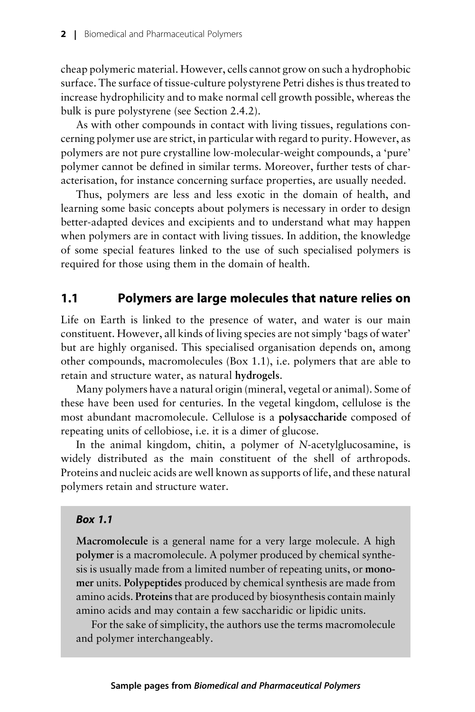cheap polymeric material. However, cells cannot grow on such a hydrophobic surface. The surface of tissue-culture polystyrene Petri dishes is thus treated to increase hydrophilicity and to make normal cell growth possible, whereas the bulk is pure polystyrene (see Section 2.4.2).

As with other compounds in contact with living tissues, regulations concerning polymer use are strict, in particular with regard to purity. However, as polymers are not pure crystalline low-molecular-weight compounds, a 'pure' polymer cannot be defined in similar terms. Moreover, further tests of characterisation, for instance concerning surface properties, are usually needed.

Thus, polymers are less and less exotic in the domain of health, and learning some basic concepts about polymers is necessary in order to design better-adapted devices and excipients and to understand what may happen when polymers are in contact with living tissues. In addition, the knowledge of some special features linked to the use of such specialised polymers is required for those using them in the domain of health.

# 1.1 Polymers are large molecules that nature relies on

Life on Earth is linked to the presence of water, and water is our main constituent. However, all kinds of living species are not simply 'bags of water' but are highly organised. This specialised organisation depends on, among other compounds, macromolecules (Box 1.1), i.e. polymers that are able to retain and structure water, as natural hydrogels.

Many polymers have a natural origin (mineral, vegetal or animal). Some of these have been used for centuries. In the vegetal kingdom, cellulose is the most abundant macromolecule. Cellulose is a polysaccharide composed of repeating units of cellobiose, i.e. it is a dimer of glucose.

In the animal kingdom, chitin, a polymer of N-acetylglucosamine, is widely distributed as the main constituent of the shell of arthropods. Proteins and nucleic acids are well known as supports of life, and these natural polymers retain and structure water.

#### Box 1.1

Macromolecule is a general name for a very large molecule. A high polymer is a macromolecule. A polymer produced by chemical synthesis is usually made from a limited number of repeating units, or monomer units. Polypeptides produced by chemical synthesis are made from amino acids. Proteins that are produced by biosynthesis contain mainly amino acids and may contain a few saccharidic or lipidic units.

For the sake of simplicity, the authors use the terms macromolecule and polymer interchangeably.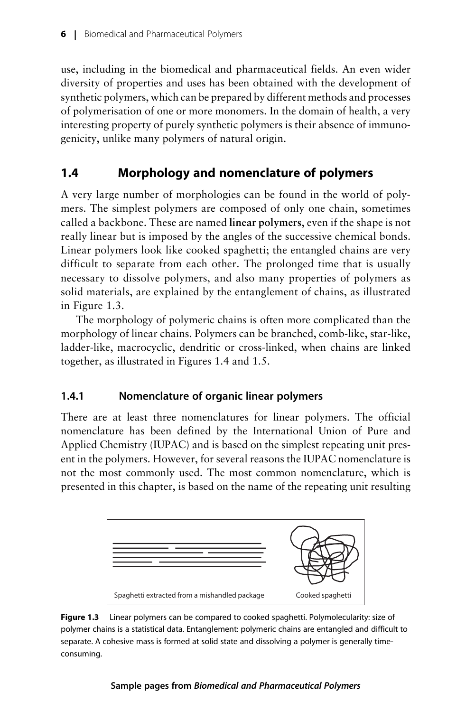use, including in the biomedical and pharmaceutical fields. An even wider diversity of properties and uses has been obtained with the development of synthetic polymers, which can be prepared by different methods and processes of polymerisation of one or more monomers. In the domain of health, a very interesting property of purely synthetic polymers is their absence of immunogenicity, unlike many polymers of natural origin.

# 1.4 Morphology and nomenclature of polymers

A very large number of morphologies can be found in the world of polymers. The simplest polymers are composed of only one chain, sometimes called a backbone. These are named linear polymers, even if the shape is not really linear but is imposed by the angles of the successive chemical bonds. Linear polymers look like cooked spaghetti; the entangled chains are very difficult to separate from each other. The prolonged time that is usually necessary to dissolve polymers, and also many properties of polymers as solid materials, are explained by the entanglement of chains, as illustrated in Figure 1.3.

The morphology of polymeric chains is often more complicated than the morphology of linear chains. Polymers can be branched, comb-like, star-like, ladder-like, macrocyclic, dendritic or cross-linked, when chains are linked together, as illustrated in [Figures 1.4](#page--1-0) and [1.5.](#page--1-0)

# 1.4.1 Nomenclature of organic linear polymers

There are at least three nomenclatures for linear polymers. The official nomenclature has been defined by the International Union of Pure and Applied Chemistry (IUPAC) and is based on the simplest repeating unit present in the polymers. However, for several reasons the IUPAC nomenclature is not the most commonly used. The most common nomenclature, which is presented in this chapter, is based on the name of the repeating unit resulting



Figure 1.3 Linear polymers can be compared to cooked spaghetti. Polymolecularity: size of polymer chains is a statistical data. Entanglement: polymeric chains are entangled and difficult to separate. A cohesive mass is formed at solid state and dissolving a polymer is generally timeconsuming.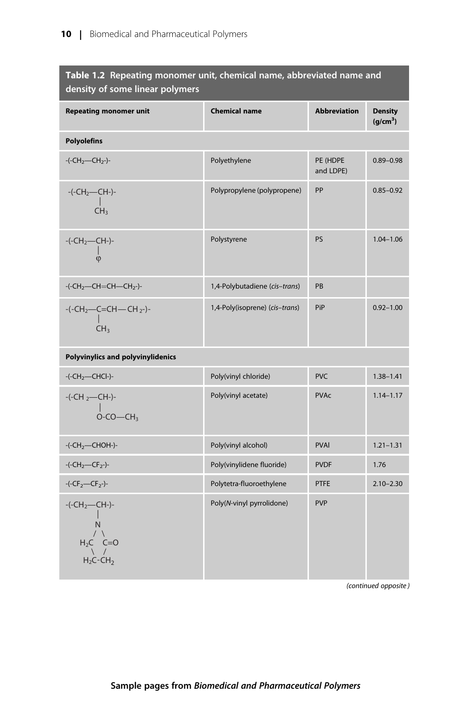| rable i.2 hepeating monomer unit, chemical hanne, abbieviated hanne and<br>density of some linear polymers           |                                |                       |                                        |  |  |  |  |
|----------------------------------------------------------------------------------------------------------------------|--------------------------------|-----------------------|----------------------------------------|--|--|--|--|
| <b>Repeating monomer unit</b>                                                                                        | <b>Chemical name</b>           | <b>Abbreviation</b>   | <b>Density</b><br>(g/cm <sup>3</sup> ) |  |  |  |  |
| <b>Polyolefins</b>                                                                                                   |                                |                       |                                        |  |  |  |  |
| $-(-CH2—CH2-)$ -                                                                                                     | Polyethylene                   | PE (HDPE<br>and LDPE) | $0.89 - 0.98$                          |  |  |  |  |
| $\begin{array}{c}\n\text{-}\text{CH}_2\text{-}\text{CH}_3\n\end{array}$ $\begin{array}{c}\n\text{CH}_3\n\end{array}$ | Polypropylene (polypropene)    | PP                    | $0.85 - 0.92$                          |  |  |  |  |
| -(-CH <sub>2</sub> ---CH-)-<br>$\downarrow$<br>$\upphi$                                                              | Polystyrene                    | PS                    | $1.04 - 1.06$                          |  |  |  |  |
| $-(-CH2—CH=CH—CH2-)-$                                                                                                | 1,4-Polybutadiene (cis-trans)  | PB                    |                                        |  |  |  |  |
| CH <sub>3</sub>                                                                                                      | 1,4-Poly(isoprene) (cis-trans) | PiP                   | $0.92 - 1.00$                          |  |  |  |  |
| <b>Polyvinylics and polyvinylidenics</b>                                                                             |                                |                       |                                        |  |  |  |  |
| $-(-CH2—CHCl-)$ -                                                                                                    | Poly(vinyl chloride)           | <b>PVC</b>            | $1.38 - 1.41$                          |  |  |  |  |
| $-CH_2$ -CH-)-<br> <br>O-CO-CH <sub>3</sub>                                                                          | Poly(vinyl acetate)            | <b>PVAc</b>           | $1.14 - 1.17$                          |  |  |  |  |
| $-($ -CH <sub>2</sub> -CHOH- $)-$                                                                                    | Poly(vinyl alcohol)            | <b>PVAI</b>           | $1.21 - 1.31$                          |  |  |  |  |
| $-(-CH2—CF2)-$                                                                                                       | Poly(vinylidene fluoride)      | <b>PVDF</b>           | 1.76                                   |  |  |  |  |
| $-(-CF_2-CF_2-)$ -                                                                                                   | Polytetra-fluoroethylene       | PTFE                  | $2.10 - 2.30$                          |  |  |  |  |
| $H_2C$ -CH <sub>2</sub>                                                                                              | Poly(N-vinyl pyrrolidone)      | <b>PVP</b>            |                                        |  |  |  |  |

Table 1.2 Repeating monomer unit, chemical name, abbreviated name and

(continued opposite)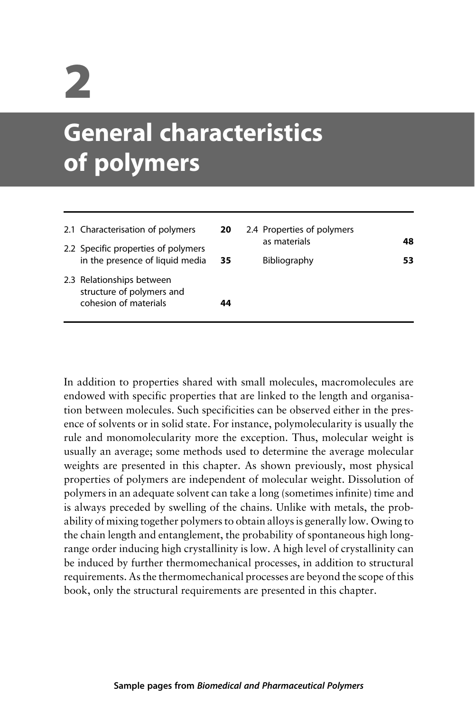# 2

# General characteristics of polymers

| 2.1 Characterisation of polymers<br>2.2 Specific properties of polymers         | 20 | 2.4 Properties of polymers<br>as materials | 48 |
|---------------------------------------------------------------------------------|----|--------------------------------------------|----|
| in the presence of liquid media                                                 | 35 | Bibliography                               |    |
| 2.3 Relationships between<br>structure of polymers and<br>cohesion of materials | 44 |                                            |    |

In addition to properties shared with small molecules, macromolecules are endowed with specific properties that are linked to the length and organisation between molecules. Such specificities can be observed either in the presence of solvents or in solid state. For instance, polymolecularity is usually the rule and monomolecularity more the exception. Thus, molecular weight is usually an average; some methods used to determine the average molecular weights are presented in this chapter. As shown previously, most physical properties of polymers are independent of molecular weight. Dissolution of polymers in an adequate solvent can take a long (sometimes infinite) time and is always preceded by swelling of the chains. Unlike with metals, the probability of mixing together polymers to obtain alloys is generally low. Owing to the chain length and entanglement, the probability of spontaneous high longrange order inducing high crystallinity is low. A high level of crystallinity can be induced by further thermomechanical processes, in addition to structural requirements. As the thermomechanical processes are beyond the scope of this book, only the structural requirements are presented in this chapter.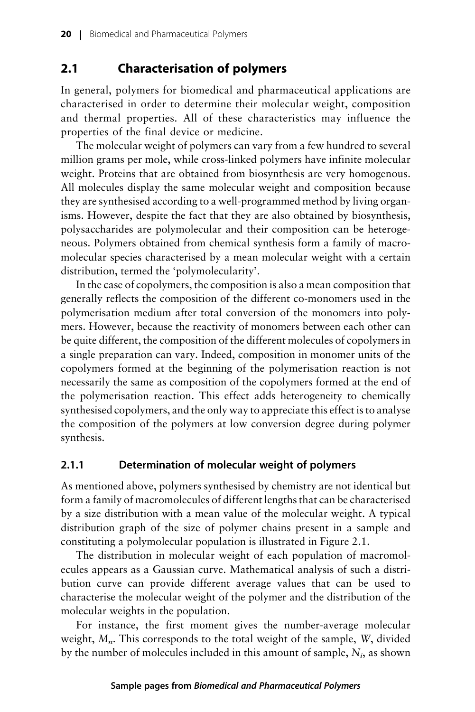## 2.1 Characterisation of polymers

In general, polymers for biomedical and pharmaceutical applications are characterised in order to determine their molecular weight, composition and thermal properties. All of these characteristics may influence the properties of the final device or medicine.

The molecular weight of polymers can vary from a few hundred to several million grams per mole, while cross-linked polymers have infinite molecular weight. Proteins that are obtained from biosynthesis are very homogenous. All molecules display the same molecular weight and composition because they are synthesised according to a well-programmed method by living organisms. However, despite the fact that they are also obtained by biosynthesis, polysaccharides are polymolecular and their composition can be heterogeneous. Polymers obtained from chemical synthesis form a family of macromolecular species characterised by a mean molecular weight with a certain distribution, termed the 'polymolecularity'.

In the case of copolymers, the composition is also a mean composition that generally reflects the composition of the different co-monomers used in the polymerisation medium after total conversion of the monomers into polymers. However, because the reactivity of monomers between each other can be quite different, the composition of the different molecules of copolymers in a single preparation can vary. Indeed, composition in monomer units of the copolymers formed at the beginning of the polymerisation reaction is not necessarily the same as composition of the copolymers formed at the end of the polymerisation reaction. This effect adds heterogeneity to chemically synthesised copolymers, and the only way to appreciate this effect is to analyse the composition of the polymers at low conversion degree during polymer synthesis.

#### 2.1.1 Determination of molecular weight of polymers

As mentioned above, polymers synthesised by chemistry are not identical but form a family of macromolecules of different lengths that can be characterised by a size distribution with a mean value of the molecular weight. A typical distribution graph of the size of polymer chains present in a sample and constituting a polymolecular population is illustrated in [Figure 2.1.](#page--1-0)

The distribution in molecular weight of each population of macromolecules appears as a Gaussian curve. Mathematical analysis of such a distribution curve can provide different average values that can be used to characterise the molecular weight of the polymer and the distribution of the molecular weights in the population.

For instance, the first moment gives the number-average molecular weight,  $M_n$ . This corresponds to the total weight of the sample, W, divided by the number of molecules included in this amount of sample,  $N_i$ , as shown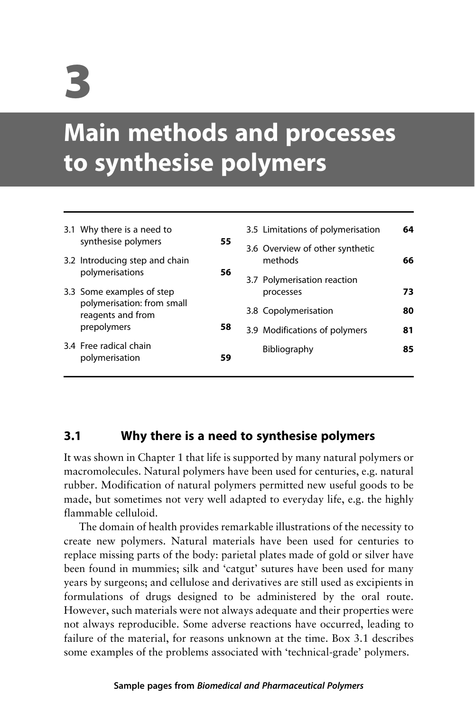# 3

# Main methods and processes to synthesise polymers

| 3.1 Why there is a need to<br>synthesise polymers       | 55 | 3.5 Limitations of polymerisation          | 64 |
|---------------------------------------------------------|----|--------------------------------------------|----|
| 3.2 Introducing step and chain<br>polymerisations       | 56 | 3.6 Overview of other synthetic<br>methods | 66 |
| 3.3 Some examples of step<br>polymerisation: from small |    | 3.7 Polymerisation reaction<br>processes   | 73 |
| reagents and from                                       |    | 3.8 Copolymerisation                       | 80 |
| prepolymers                                             | 58 | 3.9 Modifications of polymers              | 81 |
| 3.4 Free radical chain<br>polymerisation                | 59 | Bibliography                               | 85 |

# 3.1 Why there is a need to synthesise polymers

It was shown in Chapter 1 that life is supported by many natural polymers or macromolecules. Natural polymers have been used for centuries, e.g. natural rubber. Modification of natural polymers permitted new useful goods to be made, but sometimes not very well adapted to everyday life, e.g. the highly flammable celluloid.

The domain of health provides remarkable illustrations of the necessity to create new polymers. Natural materials have been used for centuries to replace missing parts of the body: parietal plates made of gold or silver have been found in mummies; silk and 'catgut' sutures have been used for many years by surgeons; and cellulose and derivatives are still used as excipients in formulations of drugs designed to be administered by the oral route. However, such materials were not always adequate and their properties were not always reproducible. Some adverse reactions have occurred, leading to failure of the material, for reasons unknown at the time. [Box 3.1](#page--1-0) describes some examples of the problems associated with 'technical-grade' polymers.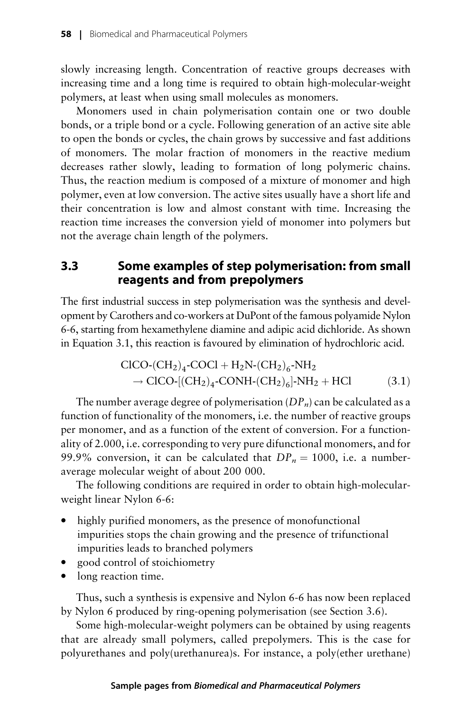slowly increasing length. Concentration of reactive groups decreases with increasing time and a long time is required to obtain high-molecular-weight polymers, at least when using small molecules as monomers.

Monomers used in chain polymerisation contain one or two double bonds, or a triple bond or a cycle. Following generation of an active site able to open the bonds or cycles, the chain grows by successive and fast additions of monomers. The molar fraction of monomers in the reactive medium decreases rather slowly, leading to formation of long polymeric chains. Thus, the reaction medium is composed of a mixture of monomer and high polymer, even at low conversion. The active sites usually have a short life and their concentration is low and almost constant with time. Increasing the reaction time increases the conversion yield of monomer into polymers but not the average chain length of the polymers.

# 3.3 Some examples of step polymerisation: from small reagents and from prepolymers

The first industrial success in step polymerisation was the synthesis and development by Carothers and co-workers at DuPont of the famous polyamide Nylon 6-6, starting from hexamethylene diamine and adipic acid dichloride. As shown in Equation 3.1, this reaction is favoured by elimination of hydrochloric acid.

ClCO-ðCH2Þ4-COCl þ H2N-ðCH2Þ6-NH2 ! ClCO-½ðCH2Þ4-CONH-ðCH2Þ6--NH2 þ HCl ð3:1Þ

The number average degree of polymerisation  $(DP_n)$  can be calculated as a function of functionality of the monomers, i.e. the number of reactive groups per monomer, and as a function of the extent of conversion. For a functionality of 2.000, i.e. corresponding to very pure difunctional monomers, and for 99.9% conversion, it can be calculated that  $DP_n = 1000$ , i.e. a numberaverage molecular weight of about 200 000.

The following conditions are required in order to obtain high-molecularweight linear Nylon 6-6:

- highly purified monomers, as the presence of monofunctional impurities stops the chain growing and the presence of trifunctional impurities leads to branched polymers
- good control of stoichiometry
- long reaction time.

Thus, such a synthesis is expensive and Nylon 6-6 has now been replaced by Nylon 6 produced by ring-opening polymerisation (see Section 3.6).

Some high-molecular-weight polymers can be obtained by using reagents that are already small polymers, called prepolymers. This is the case for polyurethanes and poly(urethanurea)s. For instance, a poly(ether urethane)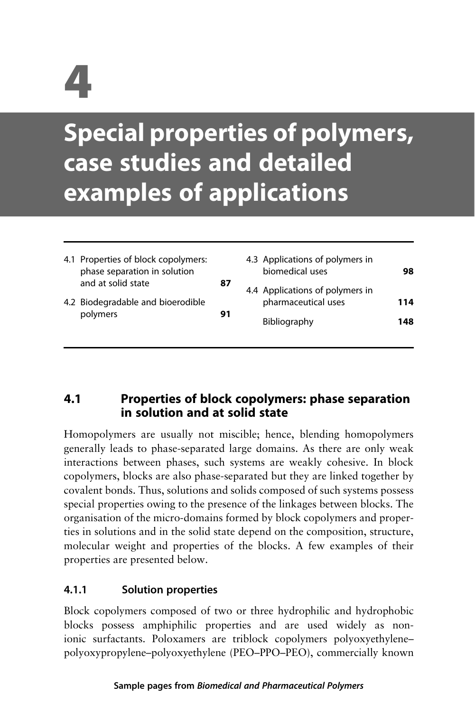# 4

# Special properties of polymers, case studies and detailed examples of applications

| 4.1 Properties of block copolymers:<br>phase separation in solution |    | 4.3 Applications of polymers in<br>biomedical uses | 98  |
|---------------------------------------------------------------------|----|----------------------------------------------------|-----|
| and at solid state                                                  | 87 | 4.4 Applications of polymers in                    |     |
| 4.2 Biodegradable and bioerodible                                   |    | pharmaceutical uses                                | 114 |
| polymers                                                            | 91 | Bibliography                                       | 148 |

# 4.1 Properties of block copolymers: phase separation in solution and at solid state

Homopolymers are usually not miscible; hence, blending homopolymers generally leads to phase-separated large domains. As there are only weak interactions between phases, such systems are weakly cohesive. In block copolymers, blocks are also phase-separated but they are linked together by covalent bonds. Thus, solutions and solids composed of such systems possess special properties owing to the presence of the linkages between blocks. The organisation of the micro-domains formed by block copolymers and properties in solutions and in the solid state depend on the composition, structure, molecular weight and properties of the blocks. A few examples of their properties are presented below.

# 4.1.1 Solution properties

Block copolymers composed of two or three hydrophilic and hydrophobic blocks possess amphiphilic properties and are used widely as nonionic surfactants. Poloxamers are triblock copolymers polyoxyethylene– polyoxypropylene–polyoxyethylene (PEO–PPO–PEO), commercially known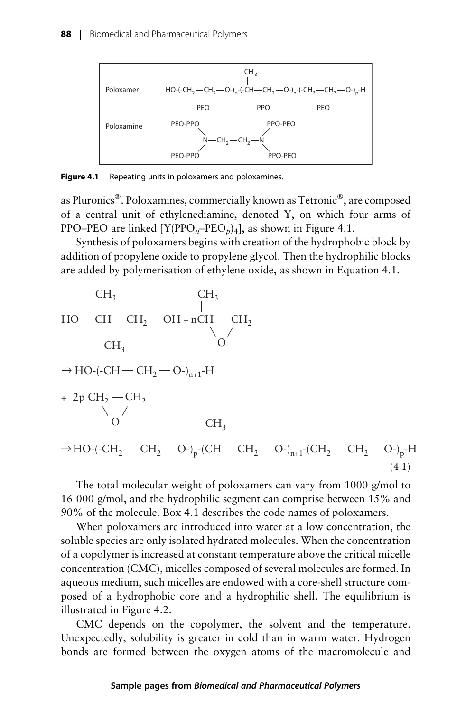

**Figure 4.1** Repeating units in poloxamers and poloxamines.

as Pluronics®. Poloxamines, commercially known as Tetronic®, are composed of a central unit of ethylenediamine, denoted Y, on which four arms of PPO–PEO are linked  $[Y(PPO_n-PEO_n)_4]$ , as shown in Figure 4.1.

Synthesis of poloxamers begins with creation of the hydrophobic block by addition of propylene oxide to propylene glycol. Then the hydrophilic blocks are added by polymerisation of ethylene oxide, as shown in Equation 4.1.

CH3 → HO-(-CH O-)n+1 CH2 -H →HO-(-CH2 O-)p CH2 -(CH CH3 O-) CH2 n+1-(CH2 O-)p CH2 -H + 2p CH2 CH2 O O HO OH + nCH CH CH2 CH2 CH3 CH3 ð4:1Þ

The total molecular weight of poloxamers can vary from 1000 g/mol to 16 000 g/mol, and the hydrophilic segment can comprise between 15% and 90% of the molecule. [Box 4.1](#page--1-0) describes the code names of poloxamers.

When poloxamers are introduced into water at a low concentration, the soluble species are only isolated hydrated molecules. When the concentration of a copolymer is increased at constant temperature above the critical micelle concentration (CMC), micelles composed of several molecules are formed. In aqueous medium, such micelles are endowed with a core-shell structure composed of a hydrophobic core and a hydrophilic shell. The equilibrium is illustrated in [Figure 4.2](#page--1-0).

CMC depends on the copolymer, the solvent and the temperature. Unexpectedly, solubility is greater in cold than in warm water. Hydrogen bonds are formed between the oxygen atoms of the macromolecule and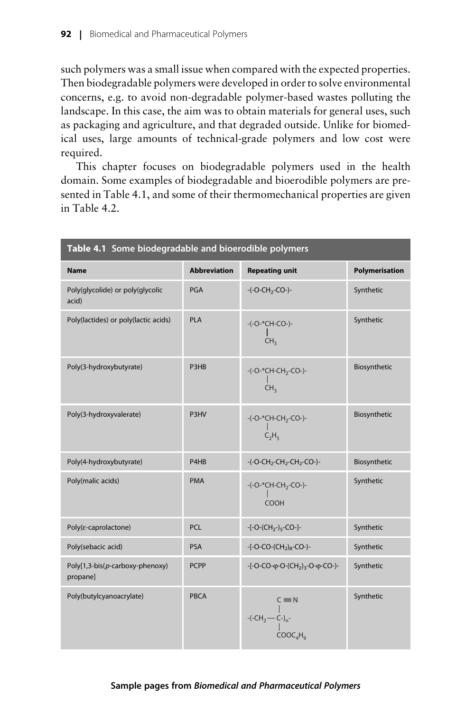such polymers was a small issue when compared with the expected properties. Then biodegradable polymers were developed in order to solve environmental concerns, e.g. to avoid non-degradable polymer-based wastes polluting the landscape. In this case, the aim was to obtain materials for general uses, such as packaging and agriculture, and that degraded outside. Unlike for biomedical uses, large amounts of technical-grade polymers and low cost were required.

This chapter focuses on biodegradable polymers used in the health domain. Some examples of biodegradable and bioerodible polymers are presented in Table 4.1, and some of their thermomechanical properties are given in [Table 4.2.](#page--1-0)

| Table 4.1 Some biodegradable and bioerodible polymers |                     |                                                                         |                |  |  |
|-------------------------------------------------------|---------------------|-------------------------------------------------------------------------|----------------|--|--|
| <b>Name</b>                                           | <b>Abbreviation</b> | <b>Repeating unit</b>                                                   | Polymerisation |  |  |
| Poly(glycolide) or poly(glycolic<br>acid)             | <b>PGA</b>          | $-($ -O-CH <sub>2</sub> -CO-)-                                          | Synthetic      |  |  |
| Poly(lactides) or poly(lactic acids)                  | <b>PLA</b>          | -(-O-*CH-CO-)-<br>CH <sub>3</sub>                                       | Synthetic      |  |  |
| Poly(3-hydroxybutyrate)                               | P3HB                | $-(-O-*CH-CH2-CO-)$<br>CH <sub>2</sub>                                  | Biosynthetic   |  |  |
| Poly(3-hydroxyvalerate)                               | P3HV                | -(-O-*CH-CH <sub>2</sub> -CO-)-<br> <br>C <sub>2</sub> H <sub>5</sub>   | Biosynthetic   |  |  |
| Poly(4-hydroxybutyrate)                               | P4HB                | $-(-O-CH_{2}-CH_{2}-CH_{2}-CO-)-$                                       | Biosynthetic   |  |  |
| Poly(malic acids)                                     | <b>PMA</b>          | $-(-O-*CH-CH2-CO-)$<br><b>COOH</b>                                      | Synthetic      |  |  |
| Poly( $\varepsilon$ -caprolactone)                    | <b>PCL</b>          | $-[-O-(CH2)]5-CO-]-$                                                    | Synthetic      |  |  |
| Poly(sebacic acid)                                    | <b>PSA</b>          | $-[-O-CO-(CH2)8-CO-]-$                                                  | Synthetic      |  |  |
| Poly[1,3-bis(p-carboxy-phenoxy)<br>propane]           | <b>PCPP</b>         | $-[-O-CO-\phi-O-(CH2)3-O-\phi-CO-]-$                                    | Synthetic      |  |  |
| Poly(butylcyanoacrylate)                              | <b>PBCA</b>         | $C \equiv N$<br>$-(-CH_2-C-)_{n^-}$<br>COOC <sub>4</sub> H <sub>9</sub> | Synthetic      |  |  |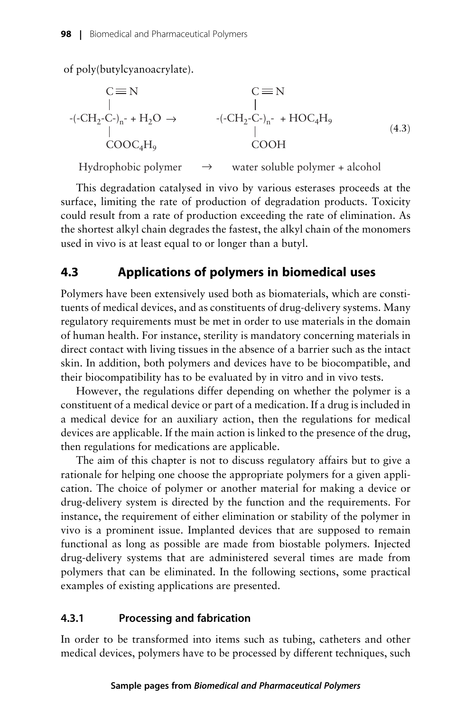of poly(butylcyanoacrylate).

$$
C \equiv N
$$
  
\n
$$
C \equiv N
$$
  
\n
$$
C \equiv N
$$
  
\n
$$
[C \equiv N
$$
  
\n
$$
[C \equiv N
$$
  
\n
$$
[C \equiv N
$$
  
\n
$$
[C \equiv N
$$
  
\n
$$
[C \equiv N
$$
  
\n
$$
[C \equiv N
$$
  
\n
$$
[C \equiv N
$$
  
\n
$$
[C \equiv N
$$
  
\n
$$
[C \equiv N
$$
  
\n
$$
[C \equiv N
$$
  
\n
$$
[C \equiv N
$$
  
\n
$$
[C \equiv N]
$$
  
\n
$$
[C \equiv N]
$$
  
\n
$$
[C \equiv N]
$$
  
\n
$$
[C \equiv N]
$$
  
\n
$$
[C \equiv N]
$$
  
\n
$$
[C \equiv N]
$$
  
\n
$$
[C \equiv N]
$$
  
\n
$$
[C \equiv N]
$$
  
\n
$$
[C \equiv N]
$$
  
\n
$$
[C \equiv N]
$$
  
\n
$$
[C \equiv N]
$$
  
\n
$$
[C \equiv N]
$$
  
\n
$$
[C \equiv N]
$$
  
\n
$$
[C \equiv N]
$$
  
\n
$$
[C \equiv N]
$$
  
\n
$$
[C \equiv N]
$$
  
\n
$$
[C \equiv N]
$$
  
\n
$$
[C \equiv N]
$$
  
\n
$$
[C \equiv N]
$$
  
\n
$$
[C \equiv N]
$$
  
\n
$$
[C \equiv N]
$$
  
\n
$$
[C \equiv N]
$$
  
\n
$$
[C \equiv N]
$$
  
\n
$$
[C \equiv N]
$$
  
\n
$$
[C \equiv N]
$$
  
\n
$$
[C \equiv N]
$$
  
\n
$$
[C \equiv N]
$$
  
\n
$$
[C \equiv N]
$$
  
\n
$$
[C \equiv N]
$$
  
\n
$$
[C \equiv N]
$$
  
\n
$$
[C \equiv N]
$$
  
\n $$ 

 $\rightarrow$ Hydrophobic polymer  $\rightarrow$  water soluble polymer + alcohol

This degradation catalysed in vivo by various esterases proceeds at the surface, limiting the rate of production of degradation products. Toxicity could result from a rate of production exceeding the rate of elimination. As the shortest alkyl chain degrades the fastest, the alkyl chain of the monomers used in vivo is at least equal to or longer than a butyl.

# 4.3 Applications of polymers in biomedical uses

Polymers have been extensively used both as biomaterials, which are constituents of medical devices, and as constituents of drug-delivery systems. Many regulatory requirements must be met in order to use materials in the domain of human health. For instance, sterility is mandatory concerning materials in direct contact with living tissues in the absence of a barrier such as the intact skin. In addition, both polymers and devices have to be biocompatible, and their biocompatibility has to be evaluated by in vitro and in vivo tests.

However, the regulations differ depending on whether the polymer is a constituent of a medical device or part of a medication. If a drug is included in a medical device for an auxiliary action, then the regulations for medical devices are applicable. If the main action is linked to the presence of the drug, then regulations for medications are applicable.

The aim of this chapter is not to discuss regulatory affairs but to give a rationale for helping one choose the appropriate polymers for a given application. The choice of polymer or another material for making a device or drug-delivery system is directed by the function and the requirements. For instance, the requirement of either elimination or stability of the polymer in vivo is a prominent issue. Implanted devices that are supposed to remain functional as long as possible are made from biostable polymers. Injected drug-delivery systems that are administered several times are made from polymers that can be eliminated. In the following sections, some practical examples of existing applications are presented.

### 4.3.1 Processing and fabrication

In order to be transformed into items such as tubing, catheters and other medical devices, polymers have to be processed by different techniques, such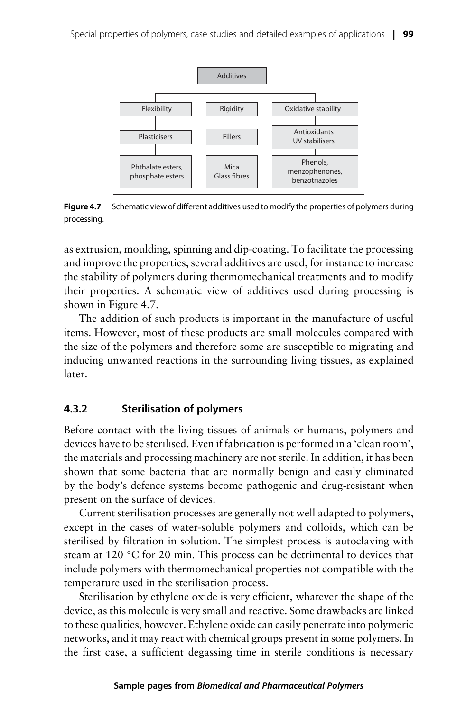

**Figure 4.7** Schematic view of different additives used to modify the properties of polymers during processing.

as extrusion, moulding, spinning and dip-coating. To facilitate the processing and improve the properties, several additives are used, for instance to increase the stability of polymers during thermomechanical treatments and to modify their properties. A schematic view of additives used during processing is shown in Figure 4.7.

The addition of such products is important in the manufacture of useful items. However, most of these products are small molecules compared with the size of the polymers and therefore some are susceptible to migrating and inducing unwanted reactions in the surrounding living tissues, as explained later.

### 4.3.2 Sterilisation of polymers

Before contact with the living tissues of animals or humans, polymers and devices have to be sterilised. Even if fabrication is performed in a 'clean room', the materials and processing machinery are not sterile. In addition, it has been shown that some bacteria that are normally benign and easily eliminated by the body's defence systems become pathogenic and drug-resistant when present on the surface of devices.

Current sterilisation processes are generally not well adapted to polymers, except in the cases of water-soluble polymers and colloids, which can be sterilised by filtration in solution. The simplest process is autoclaving with steam at 120 °C for 20 min. This process can be detrimental to devices that include polymers with thermomechanical properties not compatible with the temperature used in the sterilisation process.

Sterilisation by ethylene oxide is very efficient, whatever the shape of the device, as this molecule is very small and reactive. Some drawbacks are linked to these qualities, however. Ethylene oxide can easily penetrate into polymeric networks, and it may react with chemical groups present in some polymers. In the first case, a sufficient degassing time in sterile conditions is necessary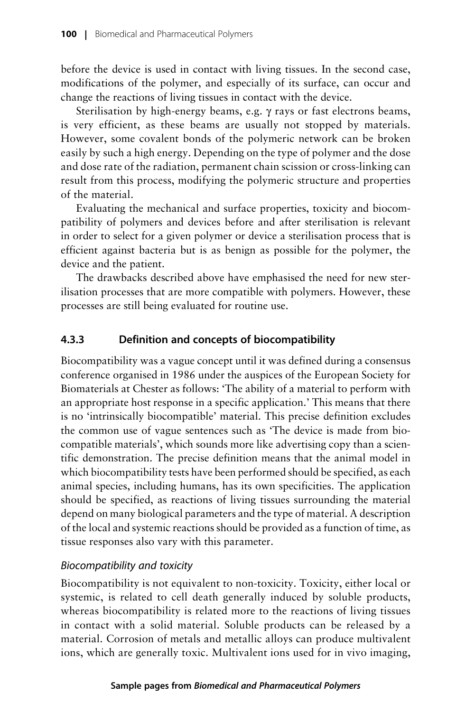before the device is used in contact with living tissues. In the second case, modifications of the polymer, and especially of its surface, can occur and change the reactions of living tissues in contact with the device.

Sterilisation by high-energy beams, e.g.  $\gamma$  rays or fast electrons beams, is very efficient, as these beams are usually not stopped by materials. However, some covalent bonds of the polymeric network can be broken easily by such a high energy. Depending on the type of polymer and the dose and dose rate of the radiation, permanent chain scission or cross-linking can result from this process, modifying the polymeric structure and properties of the material.

Evaluating the mechanical and surface properties, toxicity and biocompatibility of polymers and devices before and after sterilisation is relevant in order to select for a given polymer or device a sterilisation process that is efficient against bacteria but is as benign as possible for the polymer, the device and the patient.

The drawbacks described above have emphasised the need for new sterilisation processes that are more compatible with polymers. However, these processes are still being evaluated for routine use.

## 4.3.3 Definition and concepts of biocompatibility

Biocompatibility was a vague concept until it was defined during a consensus conference organised in 1986 under the auspices of the European Society for Biomaterials at Chester as follows: 'The ability of a material to perform with an appropriate host response in a specific application.' This means that there is no 'intrinsically biocompatible' material. This precise definition excludes the common use of vague sentences such as 'The device is made from biocompatible materials', which sounds more like advertising copy than a scientific demonstration. The precise definition means that the animal model in which biocompatibility tests have been performed should be specified, as each animal species, including humans, has its own specificities. The application should be specified, as reactions of living tissues surrounding the material depend on many biological parameters and the type of material. A description of the local and systemic reactions should be provided as a function of time, as tissue responses also vary with this parameter.

### Biocompatibility and toxicity

Biocompatibility is not equivalent to non-toxicity. Toxicity, either local or systemic, is related to cell death generally induced by soluble products, whereas biocompatibility is related more to the reactions of living tissues in contact with a solid material. Soluble products can be released by a material. Corrosion of metals and metallic alloys can produce multivalent ions, which are generally toxic. Multivalent ions used for in vivo imaging,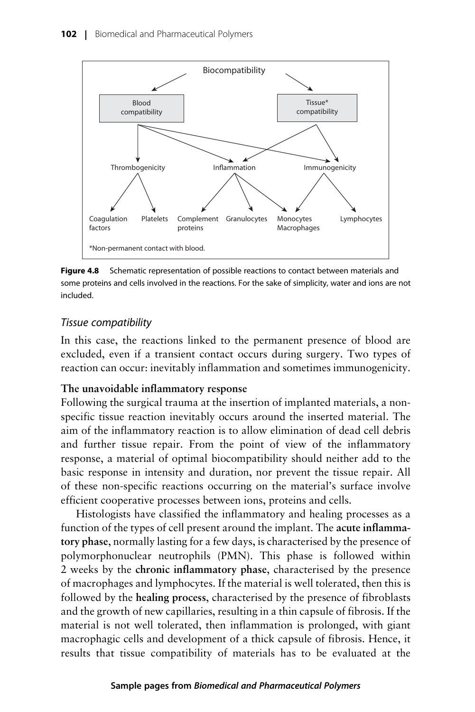

Figure 4.8 Schematic representation of possible reactions to contact between materials and some proteins and cells involved in the reactions. For the sake of simplicity, water and ions are not included.

#### Tissue compatibility

In this case, the reactions linked to the permanent presence of blood are excluded, even if a transient contact occurs during surgery. Two types of reaction can occur: inevitably inflammation and sometimes immunogenicity.

#### The unavoidable inflammatory response

Following the surgical trauma at the insertion of implanted materials, a nonspecific tissue reaction inevitably occurs around the inserted material. The aim of the inflammatory reaction is to allow elimination of dead cell debris and further tissue repair. From the point of view of the inflammatory response, a material of optimal biocompatibility should neither add to the basic response in intensity and duration, nor prevent the tissue repair. All of these non-specific reactions occurring on the material's surface involve efficient cooperative processes between ions, proteins and cells.

Histologists have classified the inflammatory and healing processes as a function of the types of cell present around the implant. The acute inflammatory phase, normally lasting for a few days, is characterised by the presence of polymorphonuclear neutrophils (PMN). This phase is followed within 2 weeks by the chronic inflammatory phase, characterised by the presence of macrophages and lymphocytes. If the material is well tolerated, then this is followed by the healing process, characterised by the presence of fibroblasts and the growth of new capillaries, resulting in a thin capsule of fibrosis. If the material is not well tolerated, then inflammation is prolonged, with giant macrophagic cells and development of a thick capsule of fibrosis. Hence, it results that tissue compatibility of materials has to be evaluated at the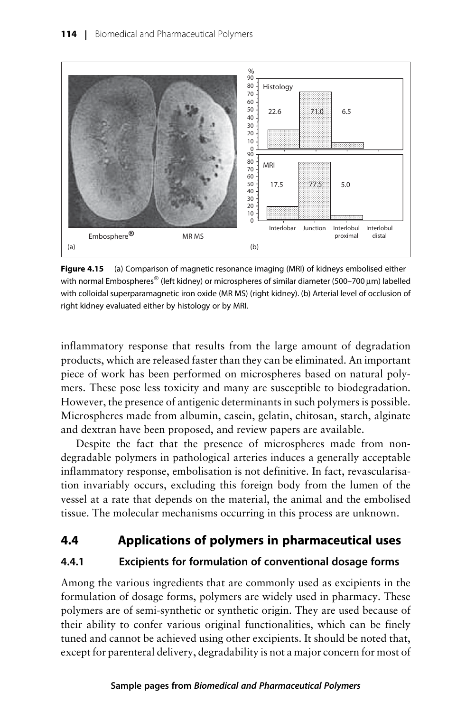

**Figure 4.15** (a) Comparison of magnetic resonance imaging (MRI) of kidneys embolised either with normal Embospheres<sup>®</sup> (left kidney) or microspheres of similar diameter (500–700  $\mu$ m) labelled with colloidal superparamagnetic iron oxide (MR MS) (right kidney). (b) Arterial level of occlusion of right kidney evaluated either by histology or by MRI.

inflammatory response that results from the large amount of degradation products, which are released faster than they can be eliminated. An important piece of work has been performed on microspheres based on natural polymers. These pose less toxicity and many are susceptible to biodegradation. However, the presence of antigenic determinants in such polymers is possible. Microspheres made from albumin, casein, gelatin, chitosan, starch, alginate and dextran have been proposed, and review papers are available.

Despite the fact that the presence of microspheres made from nondegradable polymers in pathological arteries induces a generally acceptable inflammatory response, embolisation is not definitive. In fact, revascularisation invariably occurs, excluding this foreign body from the lumen of the vessel at a rate that depends on the material, the animal and the embolised tissue. The molecular mechanisms occurring in this process are unknown.

# 4.4 Applications of polymers in pharmaceutical uses

### 4.4.1 Excipients for formulation of conventional dosage forms

Among the various ingredients that are commonly used as excipients in the formulation of dosage forms, polymers are widely used in pharmacy. These polymers are of semi-synthetic or synthetic origin. They are used because of their ability to confer various original functionalities, which can be finely tuned and cannot be achieved using other excipients. It should be noted that, except for parenteral delivery, degradability is not a major concern for most of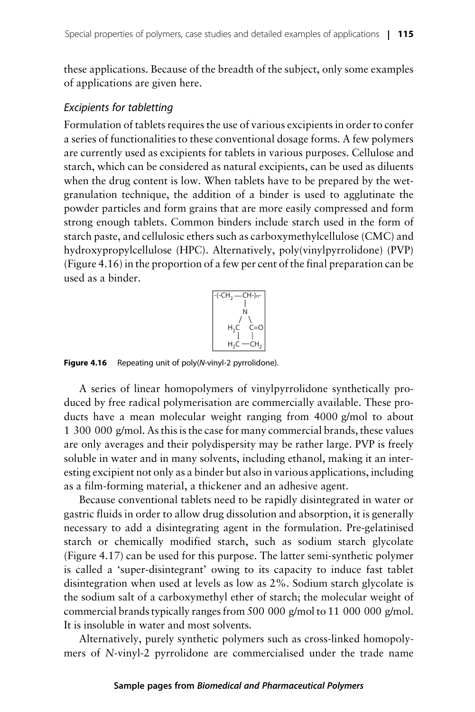these applications. Because of the breadth of the subject, only some examples of applications are given here.

#### Excipients for tabletting

Formulation of tablets requires the use of various excipients in order to confer a series of functionalities to these conventional dosage forms. A few polymers are currently used as excipients for tablets in various purposes. Cellulose and starch, which can be considered as natural excipients, can be used as diluents when the drug content is low. When tablets have to be prepared by the wetgranulation technique, the addition of a binder is used to agglutinate the powder particles and form grains that are more easily compressed and form strong enough tablets. Common binders include starch used in the form of starch paste, and cellulosic ethers such as carboxymethylcellulose (CMC) and hydroxypropylcellulose (HPC). Alternatively, poly(vinylpyrrolidone) (PVP) (Figure 4.16) in the proportion of a few per cent of the final preparation can be used as a binder.



Figure 4.16 Repeating unit of poly(N-vinyl-2 pyrrolidone).

A series of linear homopolymers of vinylpyrrolidone synthetically produced by free radical polymerisation are commercially available. These products have a mean molecular weight ranging from 4000 g/mol to about 1 300 000 g/mol. As this is the case for many commercial brands, these values are only averages and their polydispersity may be rather large. PVP is freely soluble in water and in many solvents, including ethanol, making it an interesting excipient not only as a binder but also in various applications, including as a film-forming material, a thickener and an adhesive agent.

Because conventional tablets need to be rapidly disintegrated in water or gastric fluids in order to allow drug dissolution and absorption, it is generally necessary to add a disintegrating agent in the formulation. Pre-gelatinised starch or chemically modified starch, such as sodium starch glycolate ([Figure 4.17\)](#page--1-0) can be used for this purpose. The latter semi-synthetic polymer is called a 'super-disintegrant' owing to its capacity to induce fast tablet disintegration when used at levels as low as 2%. Sodium starch glycolate is the sodium salt of a carboxymethyl ether of starch; the molecular weight of commercial brands typically ranges from 500 000 g/mol to 11 000 000 g/mol. It is insoluble in water and most solvents.

Alternatively, purely synthetic polymers such as cross-linked homopolymers of N-vinyl-2 pyrrolidone are commercialised under the trade name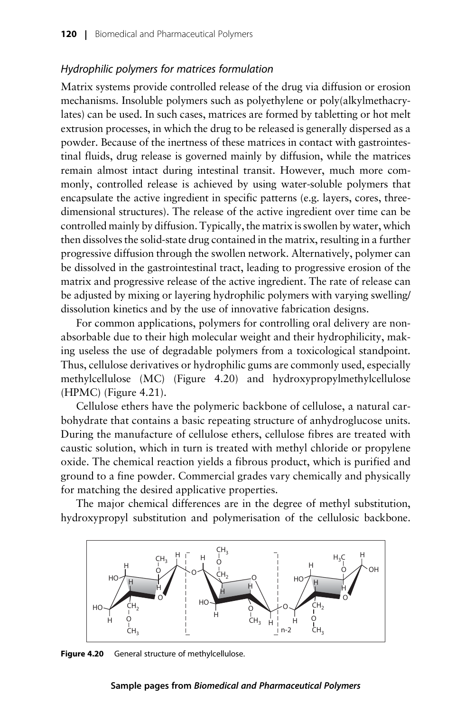#### Hydrophilic polymers for matrices formulation

Matrix systems provide controlled release of the drug via diffusion or erosion mechanisms. Insoluble polymers such as polyethylene or poly(alkylmethacrylates) can be used. In such cases, matrices are formed by tabletting or hot melt extrusion processes, in which the drug to be released is generally dispersed as a powder. Because of the inertness of these matrices in contact with gastrointestinal fluids, drug release is governed mainly by diffusion, while the matrices remain almost intact during intestinal transit. However, much more commonly, controlled release is achieved by using water-soluble polymers that encapsulate the active ingredient in specific patterns (e.g. layers, cores, threedimensional structures). The release of the active ingredient over time can be controlled mainly by diffusion. Typically, the matrix is swollen by water, which then dissolves the solid-state drug contained in the matrix, resulting in a further progressive diffusion through the swollen network. Alternatively, polymer can be dissolved in the gastrointestinal tract, leading to progressive erosion of the matrix and progressive release of the active ingredient. The rate of release can be adjusted by mixing or layering hydrophilic polymers with varying swelling/ dissolution kinetics and by the use of innovative fabrication designs.

For common applications, polymers for controlling oral delivery are nonabsorbable due to their high molecular weight and their hydrophilicity, making useless the use of degradable polymers from a toxicological standpoint. Thus, cellulose derivatives or hydrophilic gums are commonly used, especially methylcellulose (MC) (Figure 4.20) and hydroxypropylmethylcellulose (HPMC) [\(Figure 4.21](#page-18-0)).

Cellulose ethers have the polymeric backbone of cellulose, a natural carbohydrate that contains a basic repeating structure of anhydroglucose units. During the manufacture of cellulose ethers, cellulose fibres are treated with caustic solution, which in turn is treated with methyl chloride or propylene oxide. The chemical reaction yields a fibrous product, which is purified and ground to a fine powder. Commercial grades vary chemically and physically for matching the desired applicative properties.

The major chemical differences are in the degree of methyl substitution, hydroxypropyl substitution and polymerisation of the cellulosic backbone.



Figure 4.20 General structure of methylcellulose.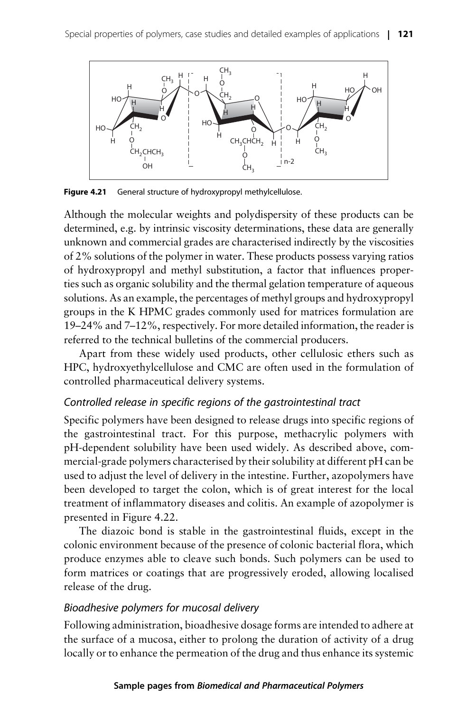<span id="page-18-0"></span>

Figure 4.21 General structure of hydroxypropyl methylcellulose.

Although the molecular weights and polydispersity of these products can be determined, e.g. by intrinsic viscosity determinations, these data are generally unknown and commercial grades are characterised indirectly by the viscosities of 2% solutions of the polymer in water. These products possess varying ratios of hydroxypropyl and methyl substitution, a factor that influences properties such as organic solubility and the thermal gelation temperature of aqueous solutions. As an example, the percentages of methyl groups and hydroxypropyl groups in the K HPMC grades commonly used for matrices formulation are 19–24% and 7–12%, respectively. For more detailed information, the reader is referred to the technical bulletins of the commercial producers.

Apart from these widely used products, other cellulosic ethers such as HPC, hydroxyethylcellulose and CMC are often used in the formulation of controlled pharmaceutical delivery systems.

### Controlled release in specific regions of the gastrointestinal tract

Specific polymers have been designed to release drugs into specific regions of the gastrointestinal tract. For this purpose, methacrylic polymers with pH-dependent solubility have been used widely. As described above, commercial-grade polymers characterised by their solubility at different pH can be used to adjust the level of delivery in the intestine. Further, azopolymers have been developed to target the colon, which is of great interest for the local treatment of inflammatory diseases and colitis. An example of azopolymer is presented in [Figure 4.22](#page--1-0).

The diazoic bond is stable in the gastrointestinal fluids, except in the colonic environment because of the presence of colonic bacterial flora, which produce enzymes able to cleave such bonds. Such polymers can be used to form matrices or coatings that are progressively eroded, allowing localised release of the drug.

#### Bioadhesive polymers for mucosal delivery

Following administration, bioadhesive dosage forms are intended to adhere at the surface of a mucosa, either to prolong the duration of activity of a drug locally or to enhance the permeation of the drug and thus enhance its systemic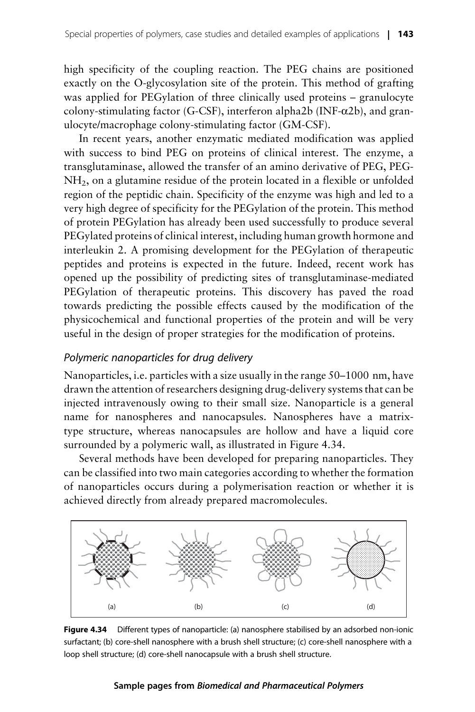<span id="page-19-0"></span>high specificity of the coupling reaction. The PEG chains are positioned exactly on the O-glycosylation site of the protein. This method of grafting was applied for PEGylation of three clinically used proteins – granulocyte colony-stimulating factor (G-CSF), interferon alpha2b (INF- $\alpha$ 2b), and granulocyte/macrophage colony-stimulating factor (GM-CSF).

In recent years, another enzymatic mediated modification was applied with success to bind PEG on proteins of clinical interest. The enzyme, a transglutaminase, allowed the transfer of an amino derivative of PEG, PEG-NH2, on a glutamine residue of the protein located in a flexible or unfolded region of the peptidic chain. Specificity of the enzyme was high and led to a very high degree of specificity for the PEGylation of the protein. This method of protein PEGylation has already been used successfully to produce several PEGylated proteins of clinical interest, including human growth hormone and interleukin 2. A promising development for the PEGylation of therapeutic peptides and proteins is expected in the future. Indeed, recent work has opened up the possibility of predicting sites of transglutaminase-mediated PEGylation of therapeutic proteins. This discovery has paved the road towards predicting the possible effects caused by the modification of the physicochemical and functional properties of the protein and will be very useful in the design of proper strategies for the modification of proteins.

### Polymeric nanoparticles for drug delivery

Nanoparticles, i.e. particles with a size usually in the range 50–1000 nm, have drawn the attention of researchers designing drug-delivery systems that can be injected intravenously owing to their small size. Nanoparticle is a general name for nanospheres and nanocapsules. Nanospheres have a matrixtype structure, whereas nanocapsules are hollow and have a liquid core surrounded by a polymeric wall, as illustrated in Figure 4.34.

Several methods have been developed for preparing nanoparticles. They can be classified into two main categories according to whether the formation of nanoparticles occurs during a polymerisation reaction or whether it is achieved directly from already prepared macromolecules.



Figure 4.34 Different types of nanoparticle: (a) nanosphere stabilised by an adsorbed non-ionic surfactant; (b) core-shell nanosphere with a brush shell structure; (c) core-shell nanosphere with a loop shell structure; (d) core-shell nanocapsule with a brush shell structure.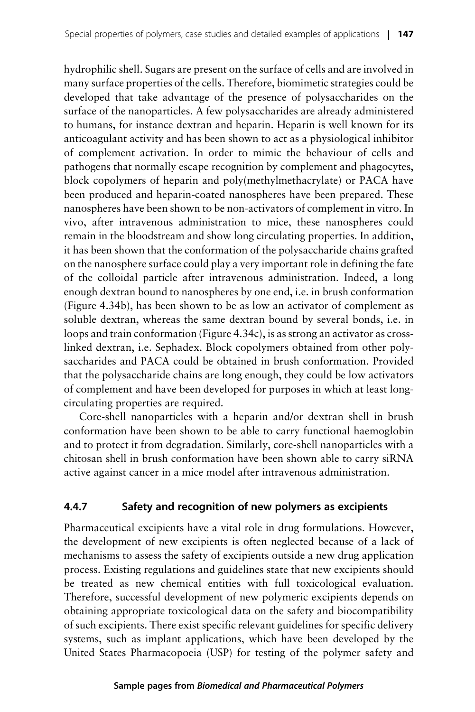hydrophilic shell. Sugars are present on the surface of cells and are involved in many surface properties of the cells. Therefore, biomimetic strategies could be developed that take advantage of the presence of polysaccharides on the surface of the nanoparticles. A few polysaccharides are already administered to humans, for instance dextran and heparin. Heparin is well known for its anticoagulant activity and has been shown to act as a physiological inhibitor of complement activation. In order to mimic the behaviour of cells and pathogens that normally escape recognition by complement and phagocytes, block copolymers of heparin and poly(methylmethacrylate) or PACA have been produced and heparin-coated nanospheres have been prepared. These nanospheres have been shown to be non-activators of complement in vitro. In vivo, after intravenous administration to mice, these nanospheres could remain in the bloodstream and show long circulating properties. In addition, it has been shown that the conformation of the polysaccharide chains grafted on the nanosphere surface could play a very important role in defining the fate of the colloidal particle after intravenous administration. Indeed, a long enough dextran bound to nanospheres by one end, i.e. in brush conformation ([Figure 4.34](#page-19-0)b), has been shown to be as low an activator of complement as soluble dextran, whereas the same dextran bound by several bonds, i.e. in loops and train conformation ([Figure 4.34c](#page-19-0)), is as strong an activator as crosslinked dextran, i.e. Sephadex. Block copolymers obtained from other polysaccharides and PACA could be obtained in brush conformation. Provided that the polysaccharide chains are long enough, they could be low activators of complement and have been developed for purposes in which at least longcirculating properties are required.

Core-shell nanoparticles with a heparin and/or dextran shell in brush conformation have been shown to be able to carry functional haemoglobin and to protect it from degradation. Similarly, core-shell nanoparticles with a chitosan shell in brush conformation have been shown able to carry siRNA active against cancer in a mice model after intravenous administration.

### 4.4.7 Safety and recognition of new polymers as excipients

Pharmaceutical excipients have a vital role in drug formulations. However, the development of new excipients is often neglected because of a lack of mechanisms to assess the safety of excipients outside a new drug application process. Existing regulations and guidelines state that new excipients should be treated as new chemical entities with full toxicological evaluation. Therefore, successful development of new polymeric excipients depends on obtaining appropriate toxicological data on the safety and biocompatibility of such excipients. There exist specific relevant guidelines for specific delivery systems, such as implant applications, which have been developed by the United States Pharmacopoeia (USP) for testing of the polymer safety and